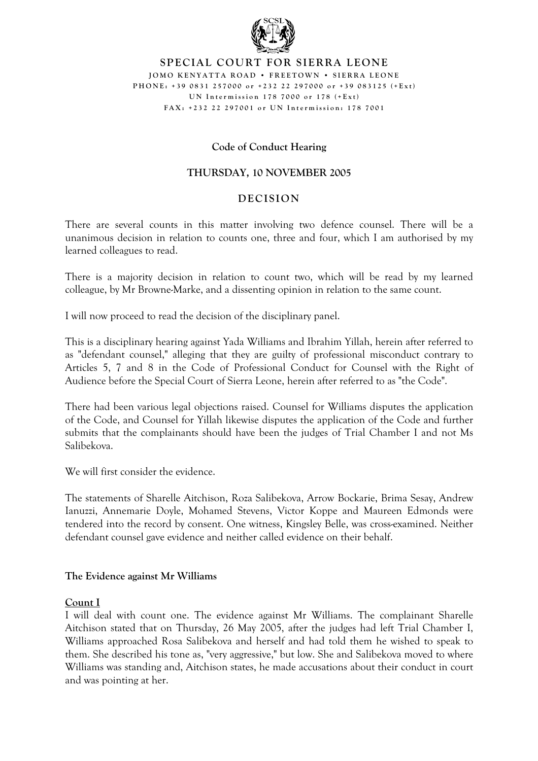

### **SPECIAL COURT FOR SIERRA LEONE JOM O K E N Y A T T A ROA D • FREET O W N • SIERR A LEON E PHONE: +39 0831 25 700 0 or +232 22 29700 0 or +39 083 125 ( + E x t ) U N In term iss i o n 178 7000 or 178 ( + E x t ) FAX: +232 2 2 2970 01 or U N In term iss i o n : 178 70 01**

# **Code of Conduct Hearing**

# **THURSDAY, 10 NOVEMBER 2005**

## **DECISION**

There are several counts in this matter involving two defence counsel. There will be a unanimous decision in relation to counts one, three and four, which I am authorised by my learned colleagues to read.

There is a majority decision in relation to count two, which will be read by my learned colleague, by Mr Browne-Marke, and a dissenting opinion in relation to the same count.

I will now proceed to read the decision of the disciplinary panel.

This is a disciplinary hearing against Yada Williams and Ibrahim Yillah, herein after referred to as "defendant counsel," alleging that they are guilty of professional misconduct contrary to Articles 5, 7 and 8 in the Code of Professional Conduct for Counsel with the Right of Audience before the Special Court of Sierra Leone, herein after referred to as "the Code".

There had been various legal objections raised. Counsel for Williams disputes the application of the Code, and Counsel for Yillah likewise disputes the application of the Code and further submits that the complainants should have been the judges of Trial Chamber I and not Ms Salibekova.

We will first consider the evidence.

The statements of Sharelle Aitchison, Roza Salibekova, Arrow Bockarie, Brima Sesay, Andrew Ianuzzi, Annemarie Doyle, Mohamed Stevens, Victor Koppe and Maureen Edmonds were tendered into the record by consent. One witness, Kingsley Belle, was cross-examined. Neither defendant counsel gave evidence and neither called evidence on their behalf.

## **The Evidence against Mr Williams**

#### **Count I**

I will deal with count one. The evidence against Mr Williams. The complainant Sharelle Aitchison stated that on Thursday, 26 May 2005, after the judges had left Trial Chamber I, Williams approached Rosa Salibekova and herself and had told them he wished to speak to them. She described his tone as, "very aggressive," but low. She and Salibekova moved to where Williams was standing and, Aitchison states, he made accusations about their conduct in court and was pointing at her.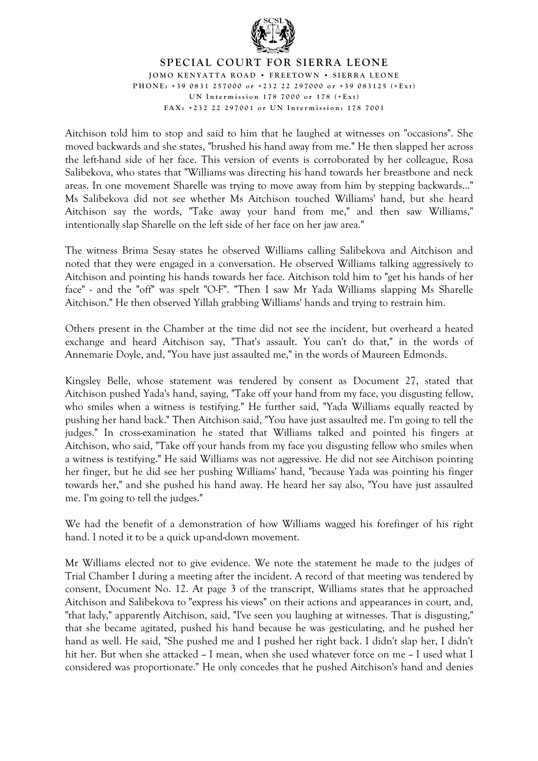

## **SPECIAL COURT FOR SIERRA LEONE JOM O K E N Y A T T A ROA D • FREET O W N • SIERR A LEON E PHONE: +39 0831 25 700 0 or +232 22 29700 0 or +39 083 125 ( + E x t ) U N In term iss i o n 178 7000 or 178 ( + E x t ) FAX: +232 2 2 2970 01 or U N In term iss i o n : 178 70 01**

Aitchison told him to stop and said to him that he laughed at witnesses on "occasions". She moved backwards and she states, "brushed his hand away from me." He then slapped her across the left-hand side of her face. This version of events is corroborated by her colleague, Rosa Salibekova, who states that "Williams was directing his hand towards her breastbone and neck areas. In one movement Sharelle was trying to move away from him by stepping backwards..." Ms Salibekova did not see whether Ms Aitchison touched Williams' hand, but she heard Aitchison say the words, "Take away your hand from me," and then saw Williams," intentionally slap Sharelle on the left side of her face on her jaw area."

The witness Brima Sesay states he observed Williams calling Salibekova and Aitchison and noted that they were engaged in a conversation. He observed Williams talking aggressively to Aitchison and pointing his hands towards her face. Aitchison told him to "get his hands of her face" - and the "off" was spelt "O-F". "Then I saw Mr Yada Williams slapping Ms Sharelle Aitchison." He then observed Yillah grabbing Williams' hands and trying to restrain him.

Others present in the Chamber at the time did not see the incident, but overheard a heated exchange and heard Aitchison say, "That's assault. You can't do that," in the words of Annemarie Doyle, and, "You have just assaulted me," in the words of Maureen Edmonds.

Kingsley Belle, whose statement was tendered by consent as Document 27, stated that Aitchison pushed Yada's hand, saying, "Take off your hand from my face, you disgusting fellow, who smiles when a witness is testifying." He further said, "Yada Williams equally reacted by pushing her hand back." Then Aitchison said, "You have just assaulted me. I'm going to tell the judges." In cross-examination he stated that Williams talked and pointed his fingers at Aitchison, who said, "Take off your hands from my face you disgusting fellow who smiles when a witness is testifying." He said Williams was not aggressive. He did not see Aitchison pointing her finger, but he did see her pushing Williams' hand, "because Yada was pointing his finger towards her," and she pushed his hand away. He heard her say also, "You have just assaulted me. I'm going to tell the judges."

We had the benefit of a demonstration of how Williams wagged his forefinger of his right hand. I noted it to be a quick up-and-down movement.

Mr Williams elected not to give evidence. We note the statement he made to the judges of Trial Chamber I during a meeting after the incident. A record of that meeting was tendered by consent, Document No. 12. At page 3 of the transcript, Williams states that he approached Aitchison and Salibekova to "express his views" on their actions and appearances in court, and, "that lady," apparently Aitchison, said, "I've seen you laughing at witnesses. That is disgusting," that she became agitated, pushed his hand because he was gesticulating, and he pushed her hand as well. He said, "She pushed me and I pushed her right back. I didn't slap her, I didn't hit her. But when she attacked  $\sim$  I mean, when she used whatever force on me  $\sim$  I used what I considered was proportionate." He only concedes that he pushed Aitchison's hand and denies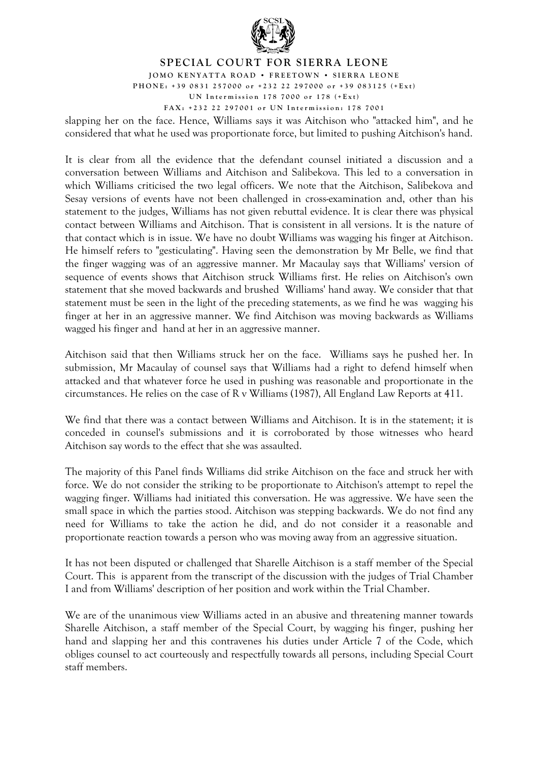

**JOM O K E N Y A T T A ROA D • FREET O W N • SIERR A LEON E PHONE: +39 0831 25 700 0 or +232 22 29700 0 or +39 083 125 ( + E x t )**

**U N In term iss i o n 178 7000 or 178 ( + E x t )**

**FAX: +232 2 2 2970 01 or U N In term iss i o n : 178 70 01** 

slapping her on the face. Hence, Williams says it was Aitchison who "attacked him", and he considered that what he used was proportionate force, but limited to pushing Aitchison's hand.

It is clear from all the evidence that the defendant counsel initiated a discussion and a conversation between Williams and Aitchison and Salibekova. This led to a conversation in which Williams criticised the two legal officers. We note that the Aitchison, Salibekova and Sesay versions of events have not been challenged in cross-examination and, other than his statement to the judges, Williams has not given rebuttal evidence. It is clear there was physical contact between Williams and Aitchison. That is consistent in all versions. It is the nature of that contact which is in issue. We have no doubt Williams was wagging his finger at Aitchison. He himself refers to "gesticulating". Having seen the demonstration by Mr Belle, we find that the finger wagging was of an aggressive manner. Mr Macaulay says that Williams' version of sequence of events shows that Aitchison struck Williams first. He relies on Aitchison's own statement that she moved backwards and brushed Williams' hand away. We consider that that statement must be seen in the light of the preceding statements, as we find he was wagging his finger at her in an aggressive manner. We find Aitchison was moving backwards as Williams wagged his finger and hand at her in an aggressive manner.

Aitchison said that then Williams struck her on the face. Williams says he pushed her. In submission, Mr Macaulay of counsel says that Williams had a right to defend himself when attacked and that whatever force he used in pushing was reasonable and proportionate in the circumstances. He relies on the case of R v Williams (1987), All England Law Reports at 411.

We find that there was a contact between Williams and Aitchison. It is in the statement; it is conceded in counsel's submissions and it is corroborated by those witnesses who heard Aitchison say words to the effect that she was assaulted.

The majority of this Panel finds Williams did strike Aitchison on the face and struck her with force. We do not consider the striking to be proportionate to Aitchison's attempt to repel the wagging finger. Williams had initiated this conversation. He was aggressive. We have seen the small space in which the parties stood. Aitchison was stepping backwards. We do not find any need for Williams to take the action he did, and do not consider it a reasonable and proportionate reaction towards a person who was moving away from an aggressive situation.

It has not been disputed or challenged that Sharelle Aitchison is a staff member of the Special Court. This is apparent from the transcript of the discussion with the judges of Trial Chamber I and from Williams' description of her position and work within the Trial Chamber.

We are of the unanimous view Williams acted in an abusive and threatening manner towards Sharelle Aitchison, a staff member of the Special Court, by wagging his finger, pushing her hand and slapping her and this contravenes his duties under Article 7 of the Code, which obliges counsel to act courteously and respectfully towards all persons, including Special Court staff members.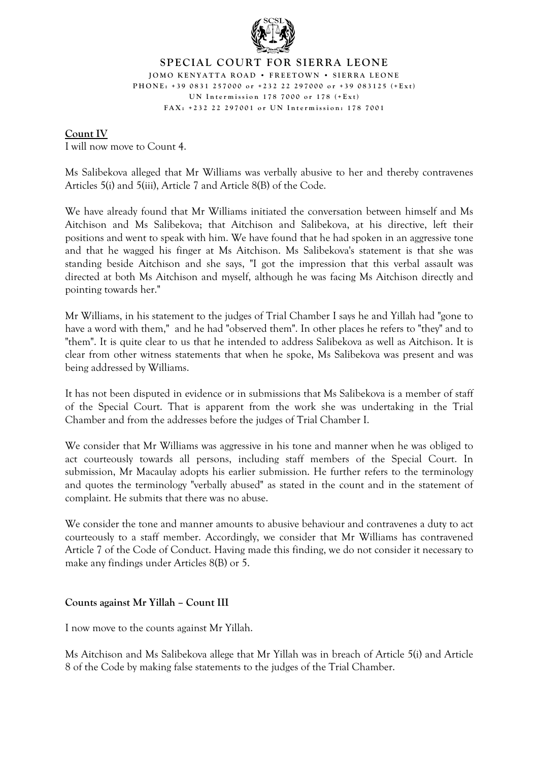

#### **SPECIAL COURT FOR SIERRA LEONE JOM O K E N Y A T T A ROA D • FREET O W N • SIERR A LEON E PHONE: +39 0831 25 700 0 or +232 22 29700 0 or +39 083 125 ( + E x t ) U N In term iss i o n 178 7000 or 178 ( + E x t ) FAX: +232 2 2 2970 01 or U N In term iss i o n : 178 70 01**

## **Count IV**

I will now move to Count 4.

Ms Salibekova alleged that Mr Williams was verbally abusive to her and thereby contravenes Articles 5(i) and 5(iii), Article 7 and Article 8(B) of the Code.

We have already found that Mr Williams initiated the conversation between himself and Ms Aitchison and Ms Salibekova; that Aitchison and Salibekova, at his directive, left their positions and went to speak with him. We have found that he had spoken in an aggressive tone and that he wagged his finger at Ms Aitchison. Ms Salibekova's statement is that she was standing beside Aitchison and she says, "I got the impression that this verbal assault was directed at both Ms Aitchison and myself, although he was facing Ms Aitchison directly and pointing towards her."

Mr Williams, in his statement to the judges of Trial Chamber I says he and Yillah had "gone to have a word with them," and he had "observed them". In other places he refers to "they" and to "them". It is quite clear to us that he intended to address Salibekova as well as Aitchison. It is clear from other witness statements that when he spoke, Ms Salibekova was present and was being addressed by Williams.

It has not been disputed in evidence or in submissions that Ms Salibekova is a member of staff of the Special Court. That is apparent from the work she was undertaking in the Trial Chamber and from the addresses before the judges of Trial Chamber I.

We consider that Mr Williams was aggressive in his tone and manner when he was obliged to act courteously towards all persons, including staff members of the Special Court. In submission, Mr Macaulay adopts his earlier submission. He further refers to the terminology and quotes the terminology "verbally abused" as stated in the count and in the statement of complaint. He submits that there was no abuse.

We consider the tone and manner amounts to abusive behaviour and contravenes a duty to act courteously to a staff member. Accordingly, we consider that Mr Williams has contravened Article 7 of the Code of Conduct. Having made this finding, we do not consider it necessary to make any findings under Articles 8(B) or 5.

# **Counts against Mr Yillah – Count III**

I now move to the counts against Mr Yillah.

Ms Aitchison and Ms Salibekova allege that Mr Yillah was in breach of Article 5(i) and Article 8 of the Code by making false statements to the judges of the Trial Chamber.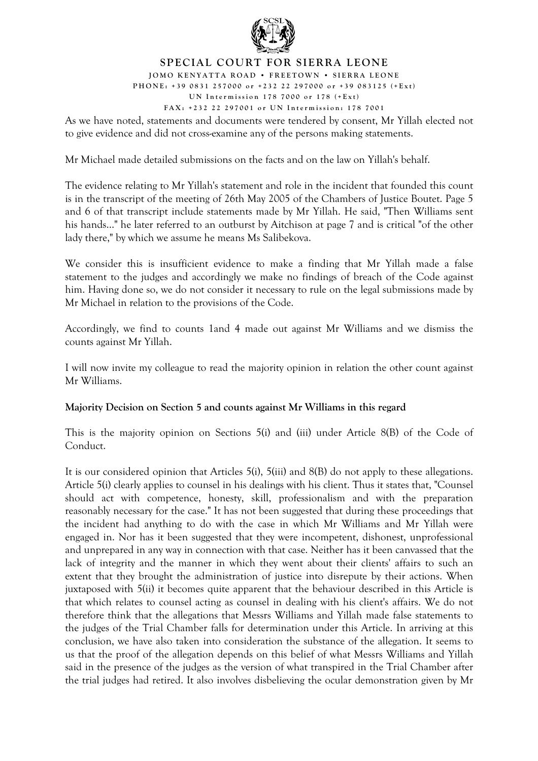

**JOM O K E N Y A T T A ROA D • FREET O W N • SIERR A LEON E PHONE: +39 0831 25 700 0 or +232 22 29700 0 or +39 083 125 ( + E x t )**

**U N In term iss i o n 178 7000 or 178 ( + E x t )**

**FAX: +232 2 2 2970 01 or U N In term iss i o n : 178 70 01** 

As we have noted, statements and documents were tendered by consent, Mr Yillah elected not to give evidence and did not cross-examine any of the persons making statements.

Mr Michael made detailed submissions on the facts and on the law on Yillah's behalf.

The evidence relating to Mr Yillah's statement and role in the incident that founded this count is in the transcript of the meeting of 26th May 2005 of the Chambers of Justice Boutet. Page 5 and 6 of that transcript include statements made by Mr Yillah. He said, "Then Williams sent his hands..." he later referred to an outburst by Aitchison at page 7 and is critical "of the other lady there," by which we assume he means Ms Salibekova.

We consider this is insufficient evidence to make a finding that Mr Yillah made a false statement to the judges and accordingly we make no findings of breach of the Code against him. Having done so, we do not consider it necessary to rule on the legal submissions made by Mr Michael in relation to the provisions of the Code.

Accordingly, we find to counts 1and 4 made out against Mr Williams and we dismiss the counts against Mr Yillah.

I will now invite my colleague to read the majority opinion in relation the other count against Mr Williams.

# **Majority Decision on Section 5 and counts against Mr Williams in this regard**

This is the majority opinion on Sections 5(i) and (iii) under Article 8(B) of the Code of Conduct.

It is our considered opinion that Articles 5(i), 5(iii) and 8(B) do not apply to these allegations. Article 5(i) clearly applies to counsel in his dealings with his client. Thus it states that, "Counsel should act with competence, honesty, skill, professionalism and with the preparation reasonably necessary for the case." It has not been suggested that during these proceedings that the incident had anything to do with the case in which Mr Williams and Mr Yillah were engaged in. Nor has it been suggested that they were incompetent, dishonest, unprofessional and unprepared in any way in connection with that case. Neither has it been canvassed that the lack of integrity and the manner in which they went about their clients' affairs to such an extent that they brought the administration of justice into disrepute by their actions. When juxtaposed with 5(ii) it becomes quite apparent that the behaviour described in this Article is that which relates to counsel acting as counsel in dealing with his client's affairs. We do not therefore think that the allegations that Messrs Williams and Yillah made false statements to the judges of the Trial Chamber falls for determination under this Article. In arriving at this conclusion, we have also taken into consideration the substance of the allegation. It seems to us that the proof of the allegation depends on this belief of what Messrs Williams and Yillah said in the presence of the judges as the version of what transpired in the Trial Chamber after the trial judges had retired. It also involves disbelieving the ocular demonstration given by Mr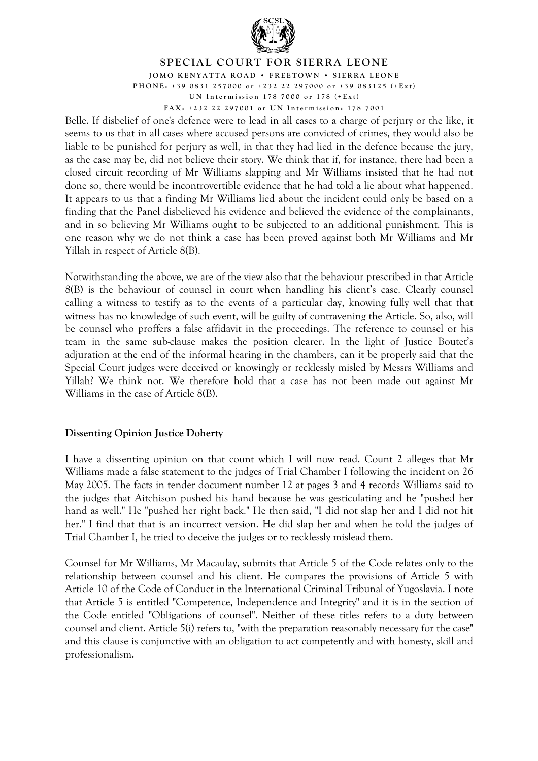

**JOM O K E N Y A T T A ROA D • FREET O W N • SIERR A LEON E PHONE: +39 0831 25 700 0 or +232 22 29700 0 or +39 083 125 ( + E x t )**

**U N In term iss i o n 178 7000 or 178 ( + E x t )**

**FAX: +232 2 2 2970 01 or U N In term iss i o n : 178 70 01** 

Belle. If disbelief of one's defence were to lead in all cases to a charge of perjury or the like, it seems to us that in all cases where accused persons are convicted of crimes, they would also be liable to be punished for perjury as well, in that they had lied in the defence because the jury, as the case may be, did not believe their story. We think that if, for instance, there had been a closed circuit recording of Mr Williams slapping and Mr Williams insisted that he had not done so, there would be incontrovertible evidence that he had told a lie about what happened. It appears to us that a finding Mr Williams lied about the incident could only be based on a finding that the Panel disbelieved his evidence and believed the evidence of the complainants, and in so believing Mr Williams ought to be subjected to an additional punishment. This is one reason why we do not think a case has been proved against both Mr Williams and Mr Yillah in respect of Article 8(B).

Notwithstanding the above, we are of the view also that the behaviour prescribed in that Article 8(B) is the behaviour of counsel in court when handling his client's case. Clearly counsel calling a witness to testify as to the events of a particular day, knowing fully well that that witness has no knowledge of such event, will be guilty of contravening the Article. So, also, will be counsel who proffers a false affidavit in the proceedings. The reference to counsel or his team in the same sub-clause makes the position clearer. In the light of Justice Boutet's adjuration at the end of the informal hearing in the chambers, can it be properly said that the Special Court judges were deceived or knowingly or recklessly misled by Messrs Williams and Yillah? We think not. We therefore hold that a case has not been made out against Mr Williams in the case of Article 8(B).

## **Dissenting Opinion Justice Doherty**

I have a dissenting opinion on that count which I will now read. Count 2 alleges that Mr Williams made a false statement to the judges of Trial Chamber I following the incident on 26 May 2005. The facts in tender document number 12 at pages 3 and 4 records Williams said to the judges that Aitchison pushed his hand because he was gesticulating and he "pushed her hand as well." He "pushed her right back." He then said, "I did not slap her and I did not hit her." I find that that is an incorrect version. He did slap her and when he told the judges of Trial Chamber I, he tried to deceive the judges or to recklessly mislead them.

Counsel for Mr Williams, Mr Macaulay, submits that Article 5 of the Code relates only to the relationship between counsel and his client. He compares the provisions of Article 5 with Article 10 of the Code of Conduct in the International Criminal Tribunal of Yugoslavia. I note that Article 5 is entitled "Competence, Independence and Integrity" and it is in the section of the Code entitled "Obligations of counsel". Neither of these titles refers to a duty between counsel and client. Article 5(i) refers to, "with the preparation reasonably necessary for the case" and this clause is conjunctive with an obligation to act competently and with honesty, skill and professionalism.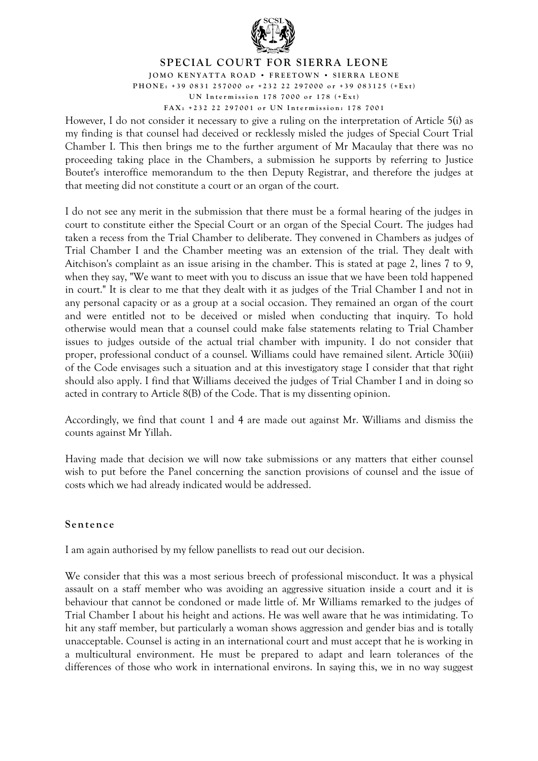

**JOM O K E N Y A T T A ROA D • FREET O W N • SIERR A LEON E** 

**PHONE: +39 0831 25 700 0 or +232 22 29700 0 or +39 083 125 ( + E x t ) U N In term iss i o n 178 7000 or 178 ( + E x t )**

**FAX: +232 2 2 2970 01 or U N In term iss i o n : 178 70 01** 

However, I do not consider it necessary to give a ruling on the interpretation of Article 5(i) as my finding is that counsel had deceived or recklessly misled the judges of Special Court Trial Chamber I. This then brings me to the further argument of Mr Macaulay that there was no proceeding taking place in the Chambers, a submission he supports by referring to Justice Boutet's interoffice memorandum to the then Deputy Registrar, and therefore the judges at that meeting did not constitute a court or an organ of the court.

I do not see any merit in the submission that there must be a formal hearing of the judges in court to constitute either the Special Court or an organ of the Special Court. The judges had taken a recess from the Trial Chamber to deliberate. They convened in Chambers as judges of Trial Chamber I and the Chamber meeting was an extension of the trial. They dealt with Aitchison's complaint as an issue arising in the chamber. This is stated at page 2, lines 7 to 9, when they say, "We want to meet with you to discuss an issue that we have been told happened in court." It is clear to me that they dealt with it as judges of the Trial Chamber I and not in any personal capacity or as a group at a social occasion. They remained an organ of the court and were entitled not to be deceived or misled when conducting that inquiry. To hold otherwise would mean that a counsel could make false statements relating to Trial Chamber issues to judges outside of the actual trial chamber with impunity. I do not consider that proper, professional conduct of a counsel. Williams could have remained silent. Article 30(iii) of the Code envisages such a situation and at this investigatory stage I consider that that right should also apply. I find that Williams deceived the judges of Trial Chamber I and in doing so acted in contrary to Article 8(B) of the Code. That is my dissenting opinion.

Accordingly, we find that count 1 and 4 are made out against Mr. Williams and dismiss the counts against Mr Yillah.

Having made that decision we will now take submissions or any matters that either counsel wish to put before the Panel concerning the sanction provisions of counsel and the issue of costs which we had already indicated would be addressed.

## **Sentence**

I am again authorised by my fellow panellists to read out our decision.

We consider that this was a most serious breech of professional misconduct. It was a physical assault on a staff member who was avoiding an aggressive situation inside a court and it is behaviour that cannot be condoned or made little of. Mr Williams remarked to the judges of Trial Chamber I about his height and actions. He was well aware that he was intimidating. To hit any staff member, but particularly a woman shows aggression and gender bias and is totally unacceptable. Counsel is acting in an international court and must accept that he is working in a multicultural environment. He must be prepared to adapt and learn tolerances of the differences of those who work in international environs. In saying this, we in no way suggest